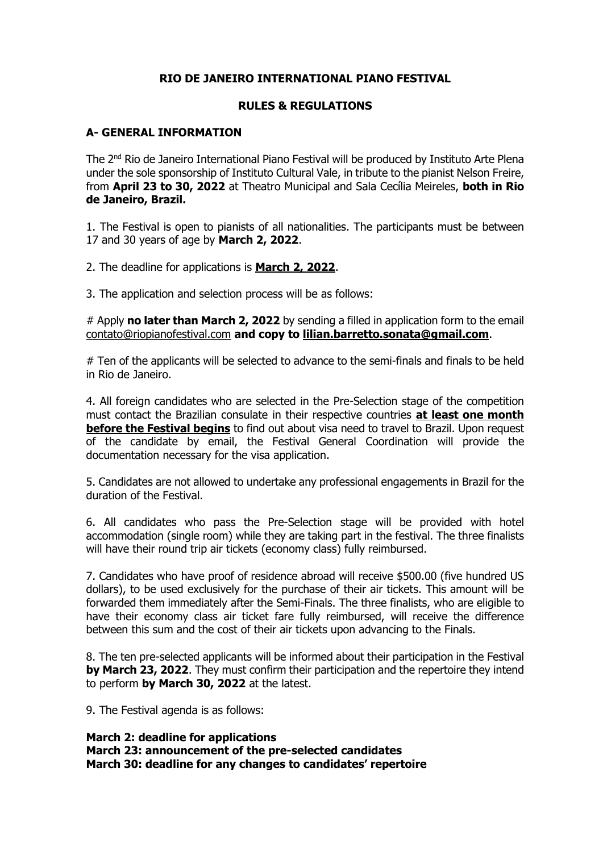### **RIO DE JANEIRO INTERNATIONAL PIANO FESTIVAL**

#### **RULES & REGULATIONS**

#### **A- GENERAL INFORMATION**

The 2nd Rio de Janeiro International Piano Festival will be produced by Instituto Arte Plena under the sole sponsorship of Instituto Cultural Vale, in tribute to the pianist Nelson Freire, from **April 23 to 30, 2022** at Theatro Municipal and Sala Cecília Meireles, **both in Rio de Janeiro, Brazil.**

1. The Festival is open to pianists of all nationalities. The participants must be between 17 and 30 years of age by **March 2, 2022**.

2. The deadline for applications is **March 2, 2022**.

3. The application and selection process will be as follows:

# Apply **no later than March 2, 2022** by sending a filled in application form to the email [contato@riopianofestival.com](mailto:contato@riopianofestival.com) **and copy to [lilian.barretto.sonata@gmail.com](mailto:lilian.barretto.sonata@gmail.com)**.

# Ten of the applicants will be selected to advance to the semi-finals and finals to be held in Rio de Janeiro.

4. All foreign candidates who are selected in the Pre-Selection stage of the competition must contact the Brazilian consulate in their respective countries **at least one month before the Festival begins** to find out about visa need to travel to Brazil. Upon request of the candidate by email, the Festival General Coordination will provide the documentation necessary for the visa application.

5. Candidates are not allowed to undertake any professional engagements in Brazil for the duration of the Festival.

6. All candidates who pass the Pre-Selection stage will be provided with hotel accommodation (single room) while they are taking part in the festival. The three finalists will have their round trip air tickets (economy class) fully reimbursed.

7. Candidates who have proof of residence abroad will receive \$500.00 (five hundred US dollars), to be used exclusively for the purchase of their air tickets. This amount will be forwarded them immediately after the Semi-Finals. The three finalists, who are eligible to have their economy class air ticket fare fully reimbursed, will receive the difference between this sum and the cost of their air tickets upon advancing to the Finals.

8. The ten pre-selected applicants will be informed about their participation in the Festival **by March 23, 2022**. They must confirm their participation and the repertoire they intend to perform **by March 30, 2022** at the latest.

9. The Festival agenda is as follows:

**March 2: deadline for applications March 23: announcement of the pre-selected candidates March 30: deadline for any changes to candidates' repertoire**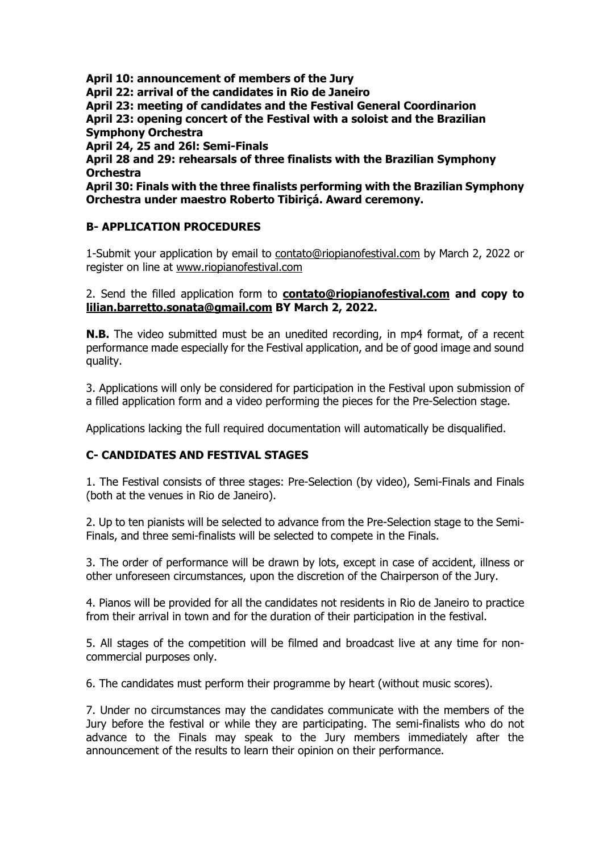**April 10: announcement of members of the Jury April 22: arrival of the candidates in Rio de Janeiro April 23: meeting of candidates and the Festival General Coordinarion April 23: opening concert of the Festival with a soloist and the Brazilian Symphony Orchestra April 24, 25 and 26l: Semi-Finals April 28 and 29: rehearsals of three finalists with the Brazilian Symphony Orchestra April 30: Finals with the three finalists performing with the Brazilian Symphony Orchestra under maestro Roberto Tibiriçá. Award ceremony.**

## **B- APPLICATION PROCEDURES**

1-Submit your application by email to [contato@riopianofestival.com](mailto:contato@riopianofestival.com) by March 2, 2022 or register on line at [www.riopianofestival.com](http://www.riopianofestival.com/)

### 2. Send the filled application form to **[contato@riopianofestival.com](mailto:contato@riopianofestival.com) and copy to [lilian.barretto.sonata@gmail.com](mailto:lilian.barretto.sonata@gmail.com) BY March 2, 2022.**

**N.B.** The video submitted must be an unedited recording, in mp4 format, of a recent performance made especially for the Festival application, and be of good image and sound quality.

3. Applications will only be considered for participation in the Festival upon submission of a filled application form and a video performing the pieces for the Pre-Selection stage.

Applications lacking the full required documentation will automatically be disqualified.

# **C- CANDIDATES AND FESTIVAL STAGES**

1. The Festival consists of three stages: Pre-Selection (by video), Semi-Finals and Finals (both at the venues in Rio de Janeiro).

2. Up to ten pianists will be selected to advance from the Pre-Selection stage to the Semi-Finals, and three semi-finalists will be selected to compete in the Finals.

3. The order of performance will be drawn by lots, except in case of accident, illness or other unforeseen circumstances, upon the discretion of the Chairperson of the Jury.

4. Pianos will be provided for all the candidates not residents in Rio de Janeiro to practice from their arrival in town and for the duration of their participation in the festival.

5. All stages of the competition will be filmed and broadcast live at any time for noncommercial purposes only.

6. The candidates must perform their programme by heart (without music scores).

7. Under no circumstances may the candidates communicate with the members of the Jury before the festival or while they are participating. The semi-finalists who do not advance to the Finals may speak to the Jury members immediately after the announcement of the results to learn their opinion on their performance.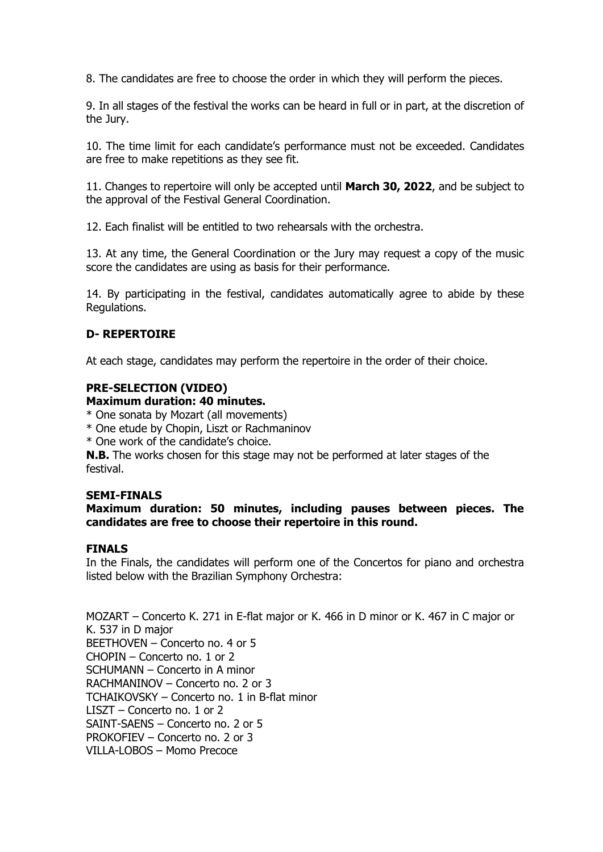8. The candidates are free to choose the order in which they will perform the pieces.

9. In all stages of the festival the works can be heard in full or in part, at the discretion of the Jury.

10. The time limit for each candidate's performance must not be exceeded. Candidates are free to make repetitions as they see fit.

11. Changes to repertoire will only be accepted until **March 30, 2022**, and be subject to the approval of the Festival General Coordination.

12. Each finalist will be entitled to two rehearsals with the orchestra.

13. At any time, the General Coordination or the Jury may request a copy of the music score the candidates are using as basis for their performance.

14. By participating in the festival, candidates automatically agree to abide by these Regulations.

#### **D- REPERTOIRE**

At each stage, candidates may perform the repertoire in the order of their choice.

### **PRE-SELECTION (VIDEO)**

#### **Maximum duration: 40 minutes.**

\* One sonata by Mozart (all movements)

- \* One etude by Chopin, Liszt or Rachmaninov
- \* One work of the candidate's choice.

**N.B.** The works chosen for this stage may not be performed at later stages of the festival.

#### **SEMI-FINALS**

#### **Maximum duration: 50 minutes, including pauses between pieces. The candidates are free to choose their repertoire in this round.**

#### **FINALS**

In the Finals, the candidates will perform one of the Concertos for piano and orchestra listed below with the Brazilian Symphony Orchestra:

MOZART – Concerto K. 271 in E-flat major or K. 466 in D minor or K. 467 in C major or K. 537 in D major BEETHOVEN – Concerto no. 4 or 5 CHOPIN – Concerto no. 1 or 2 SCHUMANN – Concerto in A minor RACHMANINOV – Concerto no. 2 or 3 TCHAIKOVSKY – Concerto no. 1 in B-flat minor LISZT – Concerto no. 1 or 2 SAINT-SAENS – Concerto no. 2 or 5 PROKOFIEV – Concerto no. 2 or 3 VILLA-LOBOS – Momo Precoce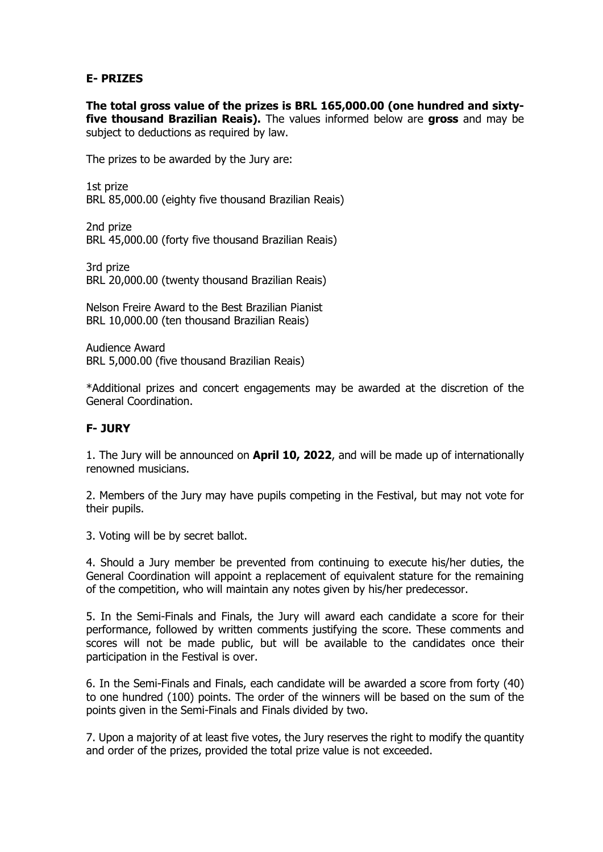## **E- PRIZES**

**The total gross value of the prizes is BRL 165,000.00 (one hundred and sixtyfive thousand Brazilian Reais).** The values informed below are **gross** and may be subject to deductions as required by law.

The prizes to be awarded by the Jury are:

1st prize BRL 85,000.00 (eighty five thousand Brazilian Reais)

2nd prize BRL 45,000.00 (forty five thousand Brazilian Reais)

3rd prize BRL 20,000.00 (twenty thousand Brazilian Reais)

Nelson Freire Award to the Best Brazilian Pianist BRL 10,000.00 (ten thousand Brazilian Reais)

Audience Award BRL 5,000.00 (five thousand Brazilian Reais)

\*Additional prizes and concert engagements may be awarded at the discretion of the General Coordination.

# **F- JURY**

1. The Jury will be announced on **April 10, 2022**, and will be made up of internationally renowned musicians.

2. Members of the Jury may have pupils competing in the Festival, but may not vote for their pupils.

3. Voting will be by secret ballot.

4. Should a Jury member be prevented from continuing to execute his/her duties, the General Coordination will appoint a replacement of equivalent stature for the remaining of the competition, who will maintain any notes given by his/her predecessor.

5. In the Semi-Finals and Finals, the Jury will award each candidate a score for their performance, followed by written comments justifying the score. These comments and scores will not be made public, but will be available to the candidates once their participation in the Festival is over.

6. In the Semi-Finals and Finals, each candidate will be awarded a score from forty (40) to one hundred (100) points. The order of the winners will be based on the sum of the points given in the Semi-Finals and Finals divided by two.

7. Upon a majority of at least five votes, the Jury reserves the right to modify the quantity and order of the prizes, provided the total prize value is not exceeded.